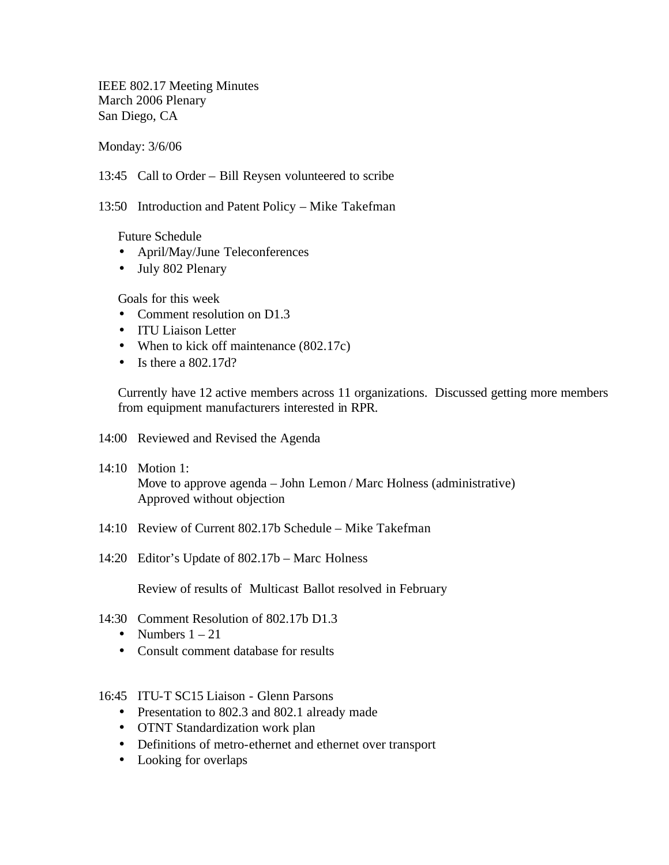IEEE 802.17 Meeting Minutes March 2006 Plenary San Diego, CA

Monday: 3/6/06

13:45 Call to Order – Bill Reysen volunteered to scribe

13:50 Introduction and Patent Policy – Mike Takefman

Future Schedule

- April/May/June Teleconferences
- July 802 Plenary

Goals for this week

- Comment resolution on D1.3
- ITU Liaison Letter
- When to kick off maintenance (802.17c)
- Is there a  $802.17d$ ?

Currently have 12 active members across 11 organizations. Discussed getting more members from equipment manufacturers interested in RPR.

- 14:00 Reviewed and Revised the Agenda
- 14:10 Motion 1: Move to approve agenda – John Lemon / Marc Holness (administrative) Approved without objection
- 14:10 Review of Current 802.17b Schedule Mike Takefman
- 14:20 Editor's Update of 802.17b Marc Holness

Review of results of Multicast Ballot resolved in February

- 14:30 Comment Resolution of 802.17b D1.3
	- Numbers  $1 21$
	- Consult comment database for results
- 16:45 ITU-T SC15 Liaison Glenn Parsons
	- Presentation to 802.3 and 802.1 already made
	- OTNT Standardization work plan
	- Definitions of metro-ethernet and ethernet over transport
	- Looking for overlaps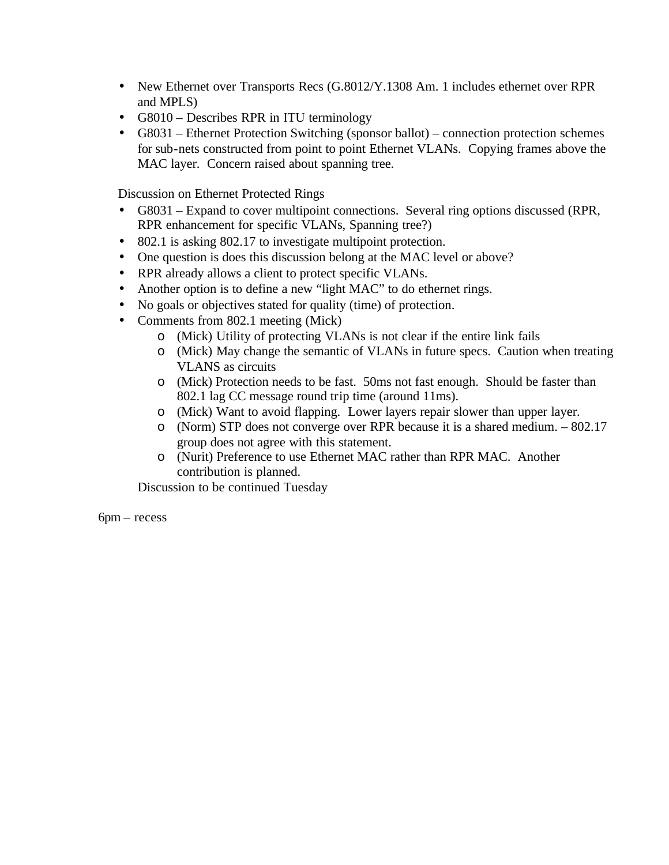- New Ethernet over Transports Recs (G.8012/Y.1308 Am. 1 includes ethernet over RPR and MPLS)
- G8010 Describes RPR in ITU terminology
- G8031 Ethernet Protection Switching (sponsor ballot) connection protection schemes for sub-nets constructed from point to point Ethernet VLANs. Copying frames above the MAC layer. Concern raised about spanning tree.

Discussion on Ethernet Protected Rings

- G8031 Expand to cover multipoint connections. Several ring options discussed (RPR, RPR enhancement for specific VLANs, Spanning tree?)
- 802.1 is asking 802.17 to investigate multipoint protection.
- One question is does this discussion belong at the MAC level or above?
- RPR already allows a client to protect specific VLANs.
- Another option is to define a new "light MAC" to do ethernet rings.
- No goals or objectives stated for quality (time) of protection.
- Comments from 802.1 meeting (Mick)
	- o (Mick) Utility of protecting VLANs is not clear if the entire link fails
	- o (Mick) May change the semantic of VLANs in future specs. Caution when treating VLANS as circuits
	- o (Mick) Protection needs to be fast. 50ms not fast enough. Should be faster than 802.1 lag CC message round trip time (around 11ms).
	- o (Mick) Want to avoid flapping. Lower layers repair slower than upper layer.
	- o (Norm) STP does not converge over RPR because it is a shared medium. 802.17 group does not agree with this statement.
	- o (Nurit) Preference to use Ethernet MAC rather than RPR MAC. Another contribution is planned.

Discussion to be continued Tuesday

6pm – recess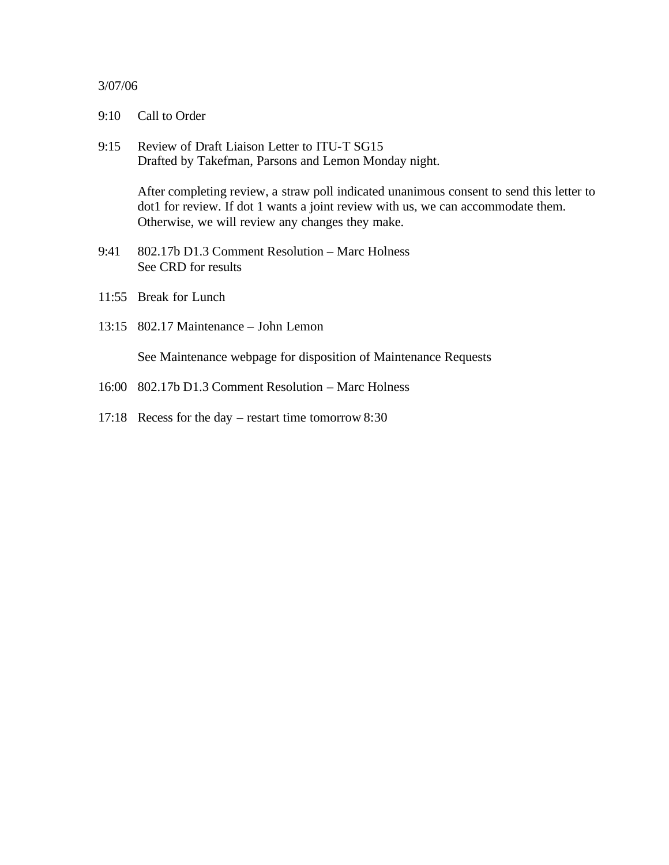## 3/07/06

- 9:10 Call to Order
- 9:15 Review of Draft Liaison Letter to ITU-T SG15 Drafted by Takefman, Parsons and Lemon Monday night.

After completing review, a straw poll indicated unanimous consent to send this letter to dot1 for review. If dot 1 wants a joint review with us, we can accommodate them. Otherwise, we will review any changes they make.

- 9:41 802.17b D1.3 Comment Resolution Marc Holness See CRD for results
- 11:55 Break for Lunch
- 13:15 802.17 Maintenance John Lemon

See Maintenance webpage for disposition of Maintenance Requests

- 16:00 802.17b D1.3 Comment Resolution Marc Holness
- 17:18 Recess for the day restart time tomorrow 8:30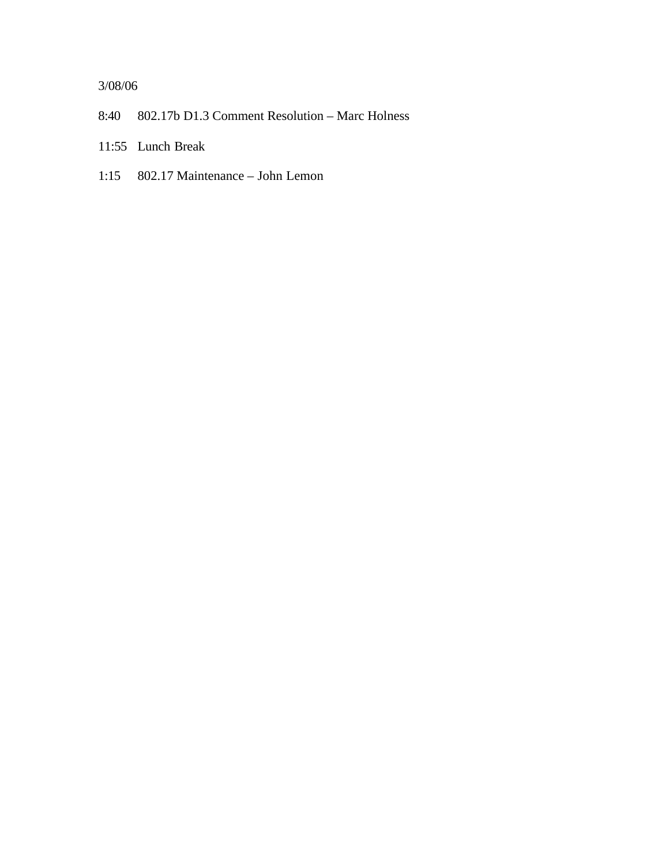## 3/08/06

- 8:40 802.17b D1.3 Comment Resolution Marc Holness
- 11:55 Lunch Break
- 1:15 802.17 Maintenance John Lemon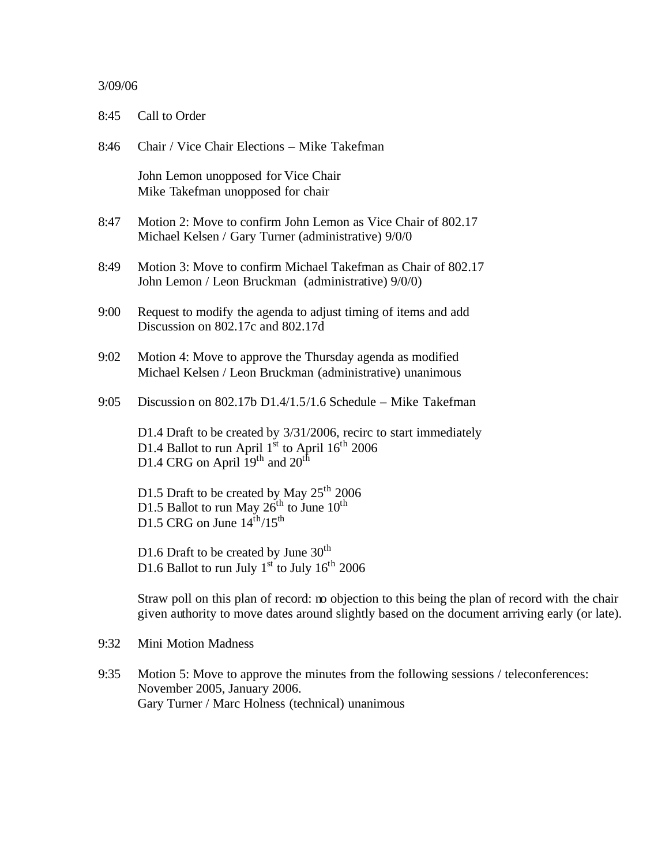## 3/09/06

| 8:45 | Call to Order                                                                                                                                                                    |
|------|----------------------------------------------------------------------------------------------------------------------------------------------------------------------------------|
| 8:46 | Chair / Vice Chair Elections – Mike Takefman                                                                                                                                     |
|      | John Lemon unopposed for Vice Chair<br>Mike Takefman unopposed for chair                                                                                                         |
| 8:47 | Motion 2: Move to confirm John Lemon as Vice Chair of 802.17<br>Michael Kelsen / Gary Turner (administrative) 9/0/0                                                              |
| 8:49 | Motion 3: Move to confirm Michael Takefman as Chair of 802.17<br>John Lemon / Leon Bruckman (administrative) 9/0/0)                                                              |
| 9:00 | Request to modify the agenda to adjust timing of items and add<br>Discussion on 802.17c and 802.17d                                                                              |
| 9:02 | Motion 4: Move to approve the Thursday agenda as modified<br>Michael Kelsen / Leon Bruckman (administrative) unanimous                                                           |
| 9:05 | Discussion on 802.17b D1.4/1.5/1.6 Schedule – Mike Takefman                                                                                                                      |
|      | D1.4 Draft to be created by 3/31/2006, recirc to start immediately<br>D1.4 Ballot to run April $1st$ to April $16th$ 2006<br>D1.4 CRG on April $19th$ and $20th$                 |
|      | D1.5 Draft to be created by May $25^{\text{th}}$ 2006<br>D1.5 Ballot to run May $26^{\text{th}}$ to June $10^{\text{th}}$<br>D1.5 CRG on June $14^{\text{th}}$ /15 <sup>th</sup> |
|      | D1.6 Draft to be created by June $30th$<br>D1.6 Ballot to run July 1 <sup>st</sup> to July 16 <sup>th</sup> 2006                                                                 |
|      |                                                                                                                                                                                  |

Straw poll on this plan of record: no objection to this being the plan of record with the chair given authority to move dates around slightly based on the document arriving early (or late).

9:32 Mini Motion Madness

9:35 Motion 5: Move to approve the minutes from the following sessions / teleconferences: November 2005, January 2006. Gary Turner / Marc Holness (technical) unanimous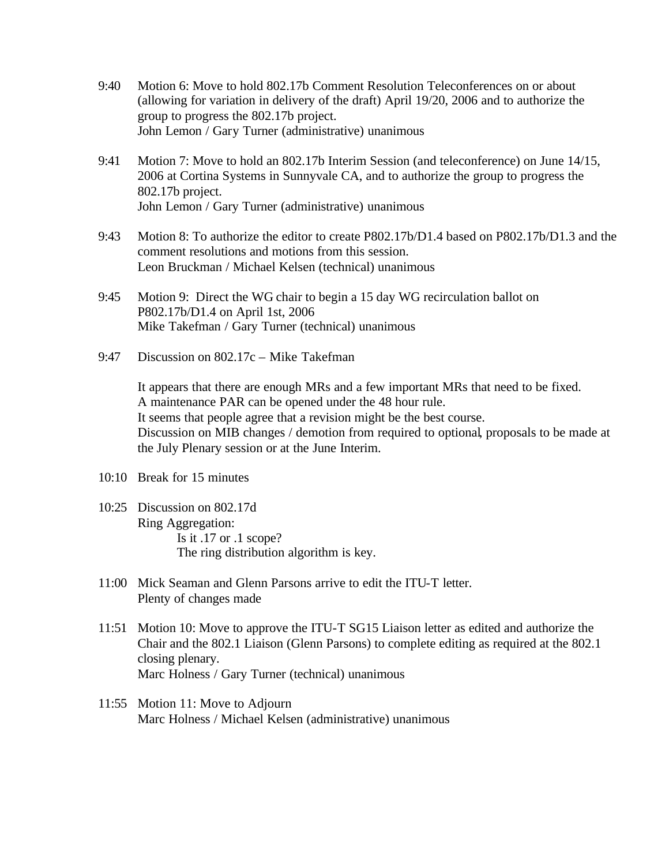- 9:40 Motion 6: Move to hold 802.17b Comment Resolution Teleconferences on or about (allowing for variation in delivery of the draft) April 19/20, 2006 and to authorize the group to progress the 802.17b project. John Lemon / Gary Turner (administrative) unanimous
- 9:41 Motion 7: Move to hold an 802.17b Interim Session (and teleconference) on June 14/15, 2006 at Cortina Systems in Sunnyvale CA, and to authorize the group to progress the 802.17b project. John Lemon / Gary Turner (administrative) unanimous
- 9:43 Motion 8: To authorize the editor to create P802.17b/D1.4 based on P802.17b/D1.3 and the comment resolutions and motions from this session. Leon Bruckman / Michael Kelsen (technical) unanimous
- 9:45 Motion 9: Direct the WG chair to begin a 15 day WG recirculation ballot on P802.17b/D1.4 on April 1st, 2006 Mike Takefman / Gary Turner (technical) unanimous
- 9:47 Discussion on 802.17c Mike Takefman

It appears that there are enough MRs and a few important MRs that need to be fixed. A maintenance PAR can be opened under the 48 hour rule. It seems that people agree that a revision might be the best course. Discussion on MIB changes / demotion from required to optional, proposals to be made at the July Plenary session or at the June Interim.

- 10:10 Break for 15 minutes
- 10:25 Discussion on 802.17d Ring Aggregation: Is it .17 or .1 scope? The ring distribution algorithm is key.
- 11:00 Mick Seaman and Glenn Parsons arrive to edit the ITU-T letter. Plenty of changes made
- 11:51 Motion 10: Move to approve the ITU-T SG15 Liaison letter as edited and authorize the Chair and the 802.1 Liaison (Glenn Parsons) to complete editing as required at the 802.1 closing plenary. Marc Holness / Gary Turner (technical) unanimous
- 11:55 Motion 11: Move to Adjourn Marc Holness / Michael Kelsen (administrative) unanimous